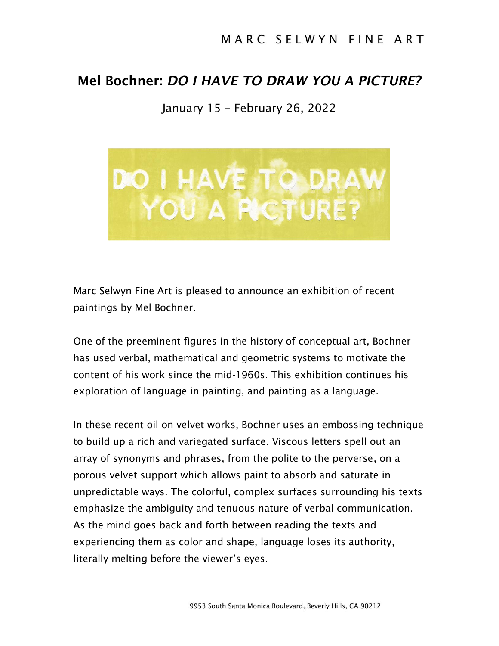## MARC SELWYN FINE ART

## Mel Bochner: *DO I HAVE TO DRAW YOU A PICTURE?*

January 15 – February 26, 2022



Marc Selwyn Fine Art is pleased to announce an exhibition of recent paintings by Mel Bochner.

One of the preeminent figures in the history of conceptual art, Bochner has used verbal, mathematical and geometric systems to motivate the content of his work since the mid-1960s. This exhibition continues his exploration of language in painting, and painting as a language.

In these recent oil on velvet works, Bochner uses an embossing technique to build up a rich and variegated surface. Viscous letters spell out an array of synonyms and phrases, from the polite to the perverse, on a porous velvet support which allows paint to absorb and saturate in unpredictable ways. The colorful, complex surfaces surrounding his texts emphasize the ambiguity and tenuous nature of verbal communication. As the mind goes back and forth between reading the texts and experiencing them as color and shape, language loses its authority, literally melting before the viewer's eyes.